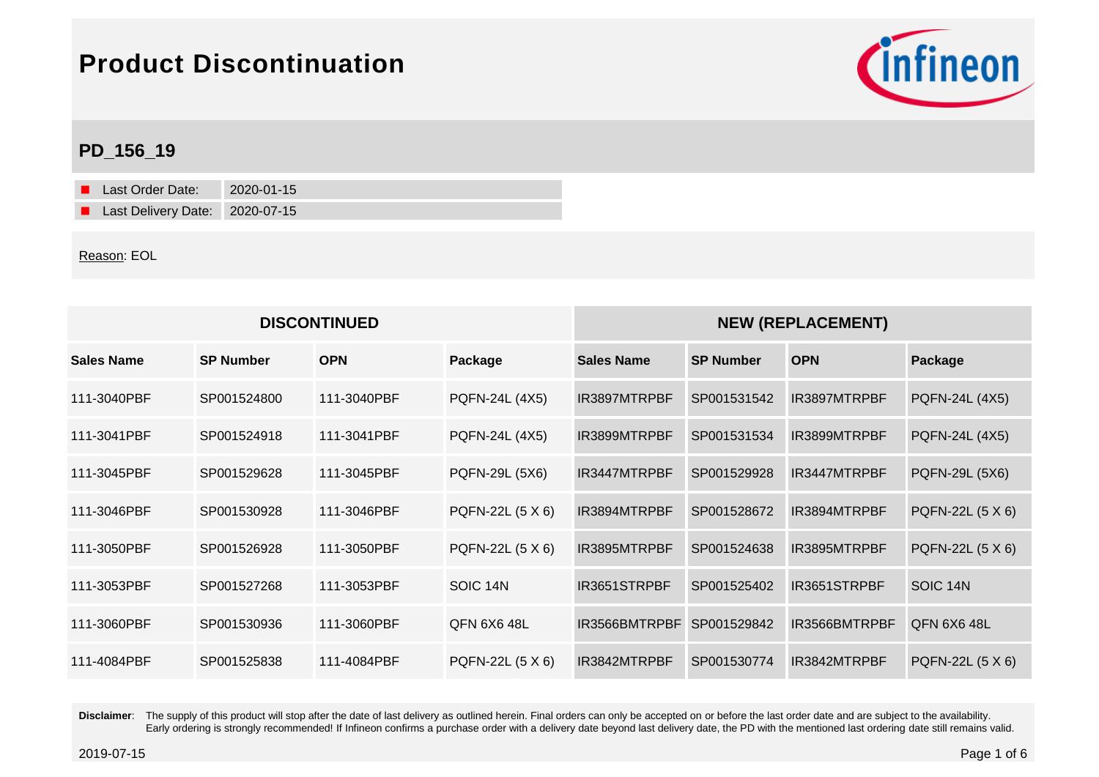

## **PD\_156\_19**

| Last Order Date:               | 2020-01-15 |
|--------------------------------|------------|
| Last Delivery Date: 2020-07-15 |            |

#### Reason: EOL

| <b>DISCONTINUED</b> |                  |             |                    | <b>NEW (REPLACEMENT)</b> |                  |               |                    |
|---------------------|------------------|-------------|--------------------|--------------------------|------------------|---------------|--------------------|
| <b>Sales Name</b>   | <b>SP Number</b> | <b>OPN</b>  | Package            | <b>Sales Name</b>        | <b>SP Number</b> | <b>OPN</b>    | Package            |
| 111-3040PBF         | SP001524800      | 111-3040PBF | PQFN-24L (4X5)     | IR3897MTRPBF             | SP001531542      | IR3897MTRPBF  | PQFN-24L (4X5)     |
| 111-3041PBF         | SP001524918      | 111-3041PBF | PQFN-24L (4X5)     | IR3899MTRPBF             | SP001531534      | IR3899MTRPBF  | PQFN-24L (4X5)     |
| 111-3045PBF         | SP001529628      | 111-3045PBF | PQFN-29L (5X6)     | IR3447MTRPBF             | SP001529928      | IR3447MTRPBF  | PQFN-29L (5X6)     |
| 111-3046PBF         | SP001530928      | 111-3046PBF | PQFN-22L (5 X 6)   | IR3894MTRPBF             | SP001528672      | IR3894MTRPBF  | PQFN-22L (5 X 6)   |
| 111-3050PBF         | SP001526928      | 111-3050PBF | PQFN-22L (5 X 6)   | IR3895MTRPBF             | SP001524638      | IR3895MTRPBF  | PQFN-22L (5 X 6)   |
| 111-3053PBF         | SP001527268      | 111-3053PBF | SOIC 14N           | IR3651STRPBF             | SP001525402      | IR3651STRPBF  | SOIC 14N           |
| 111-3060PBF         | SP001530936      | 111-3060PBF | <b>QFN 6X6 48L</b> | IR3566BMTRPBF            | SP001529842      | IR3566BMTRPBF | <b>QFN 6X6 48L</b> |
| 111-4084PBF         | SP001525838      | 111-4084PBF | PQFN-22L (5 X 6)   | IR3842MTRPBF             | SP001530774      | IR3842MTRPBF  | PQFN-22L (5 X 6)   |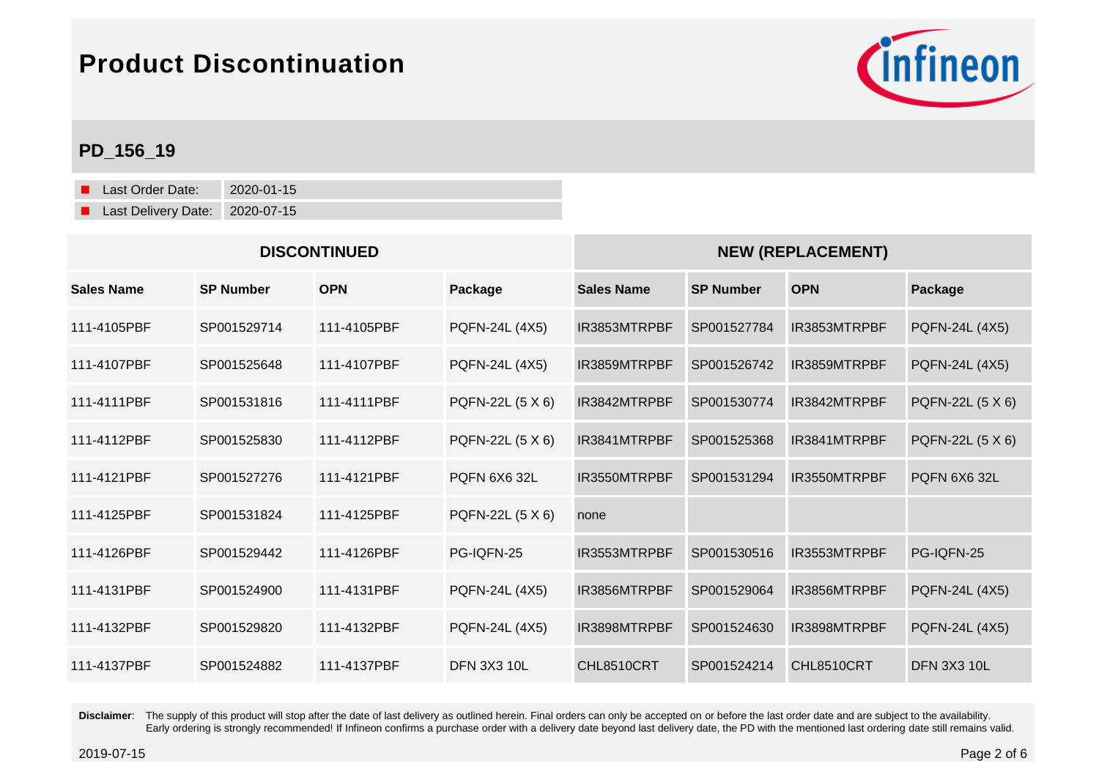

## **PD\_156\_19**

Last Order Date: 2020-01-15 Last Delivery Date: 2020-07-15

| <b>DISCONTINUED</b> |                  |             |                       | <b>NEW (REPLACEMENT)</b> |                  |              |                    |
|---------------------|------------------|-------------|-----------------------|--------------------------|------------------|--------------|--------------------|
| <b>Sales Name</b>   | <b>SP Number</b> | <b>OPN</b>  | Package               | <b>Sales Name</b>        | <b>SP Number</b> | <b>OPN</b>   | Package            |
| 111-4105PBF         | SP001529714      | 111-4105PBF | PQFN-24L (4X5)        | IR3853MTRPBF             | SP001527784      | IR3853MTRPBF | PQFN-24L (4X5)     |
| 111-4107PBF         | SP001525648      | 111-4107PBF | <b>PQFN-24L (4X5)</b> | IR3859MTRPBF             | SP001526742      | IR3859MTRPBF | PQFN-24L (4X5)     |
| 111-4111PBF         | SP001531816      | 111-4111PBF | PQFN-22L (5 X 6)      | IR3842MTRPBF             | SP001530774      | IR3842MTRPBF | PQFN-22L (5 X 6)   |
| 111-4112PBF         | SP001525830      | 111-4112PBF | PQFN-22L (5 X 6)      | IR3841MTRPBF             | SP001525368      | IR3841MTRPBF | PQFN-22L (5 X 6)   |
| 111-4121PBF         | SP001527276      | 111-4121PBF | <b>PQFN 6X6 32L</b>   | IR3550MTRPBF             | SP001531294      | IR3550MTRPBF | POFN 6X6 32L       |
| 111-4125PBF         | SP001531824      | 111-4125PBF | PQFN-22L (5 X 6)      | none                     |                  |              |                    |
| 111-4126PBF         | SP001529442      | 111-4126PBF | PG-IQFN-25            | IR3553MTRPBF             | SP001530516      | IR3553MTRPBF | PG-IQFN-25         |
| 111-4131PBF         | SP001524900      | 111-4131PBF | <b>PQFN-24L (4X5)</b> | IR3856MTRPBF             | SP001529064      | IR3856MTRPBF | PQFN-24L (4X5)     |
| 111-4132PBF         | SP001529820      | 111-4132PBF | <b>PQFN-24L (4X5)</b> | IR3898MTRPBF             | SP001524630      | IR3898MTRPBF | PQFN-24L (4X5)     |
| 111-4137PBF         | SP001524882      | 111-4137PBF | <b>DFN 3X3 10L</b>    | CHL8510CRT               | SP001524214      | CHL8510CRT   | <b>DFN 3X3 10L</b> |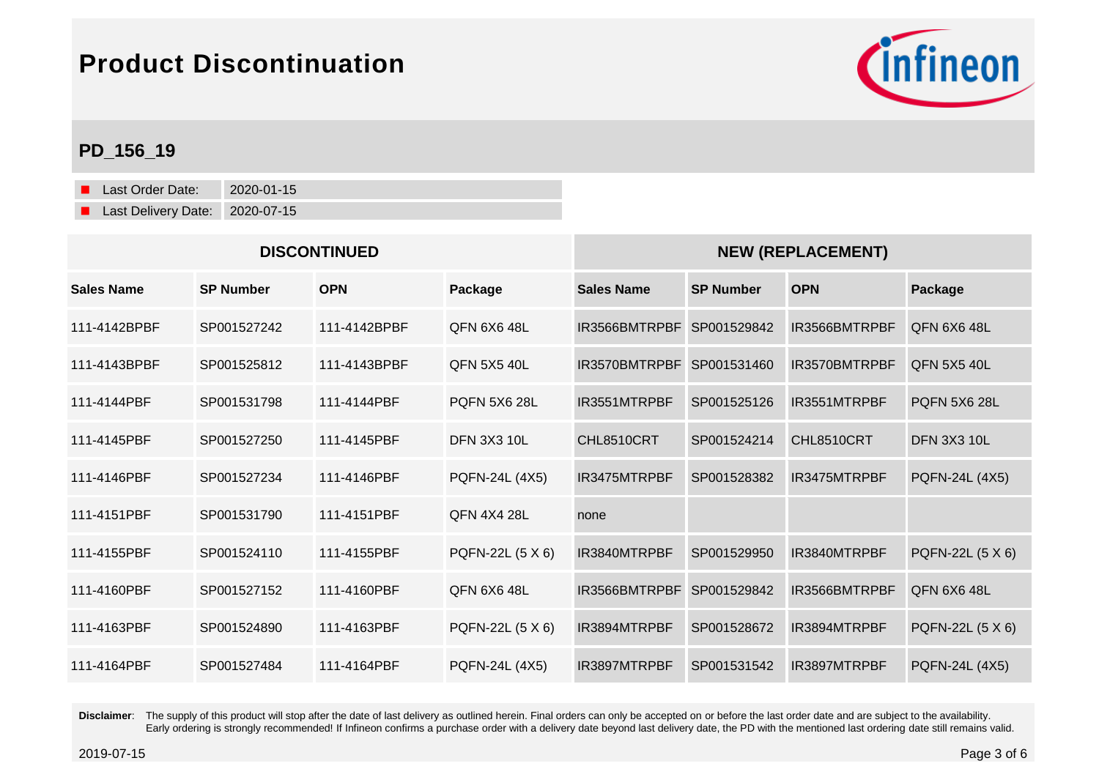

## **PD\_156\_19**

Last Order Date: 2020-01-15 Last Delivery Date: 2020-07-15

| <b>DISCONTINUED</b> |                  |              |                     | <b>NEW (REPLACEMENT)</b> |                  |               |                     |
|---------------------|------------------|--------------|---------------------|--------------------------|------------------|---------------|---------------------|
| Sales Name          | <b>SP Number</b> | <b>OPN</b>   | Package             | <b>Sales Name</b>        | <b>SP Number</b> | <b>OPN</b>    | Package             |
| 111-4142BPBF        | SP001527242      | 111-4142BPBF | <b>QFN 6X6 48L</b>  | IR3566BMTRPBF            | SP001529842      | IR3566BMTRPBF | QFN 6X6 48L         |
| 111-4143BPBF        | SP001525812      | 111-4143BPBF | <b>QFN 5X5 40L</b>  | IR3570BMTRPBF            | SP001531460      | IR3570BMTRPBF | <b>QFN 5X5 40L</b>  |
| 111-4144PBF         | SP001531798      | 111-4144PBF  | <b>POFN 5X6 28L</b> | IR3551MTRPBF             | SP001525126      | IR3551MTRPBF  | <b>POFN 5X6 28L</b> |
| 111-4145PBF         | SP001527250      | 111-4145PBF  | <b>DFN 3X3 10L</b>  | CHL8510CRT               | SP001524214      | CHL8510CRT    | <b>DFN 3X3 10L</b>  |
| 111-4146PBF         | SP001527234      | 111-4146PBF  | PQFN-24L (4X5)      | IR3475MTRPBF             | SP001528382      | IR3475MTRPBF  | PQFN-24L (4X5)      |
| 111-4151PBF         | SP001531790      | 111-4151PBF  | <b>QFN 4X4 28L</b>  | none                     |                  |               |                     |
| 111-4155PBF         | SP001524110      | 111-4155PBF  | PQFN-22L (5 X 6)    | IR3840MTRPBF             | SP001529950      | IR3840MTRPBF  | PQFN-22L (5 X 6)    |
| 111-4160PBF         | SP001527152      | 111-4160PBF  | <b>QFN 6X6 48L</b>  | IR3566BMTRPBF            | SP001529842      | IR3566BMTRPBF | <b>QFN 6X6 48L</b>  |
| 111-4163PBF         | SP001524890      | 111-4163PBF  | PQFN-22L (5 X 6)    | IR3894MTRPBF             | SP001528672      | IR3894MTRPBF  | PQFN-22L (5 X 6)    |
| 111-4164PBF         | SP001527484      | 111-4164PBF  | PQFN-24L (4X5)      | IR3897MTRPBF             | SP001531542      | IR3897MTRPBF  | PQFN-24L (4X5)      |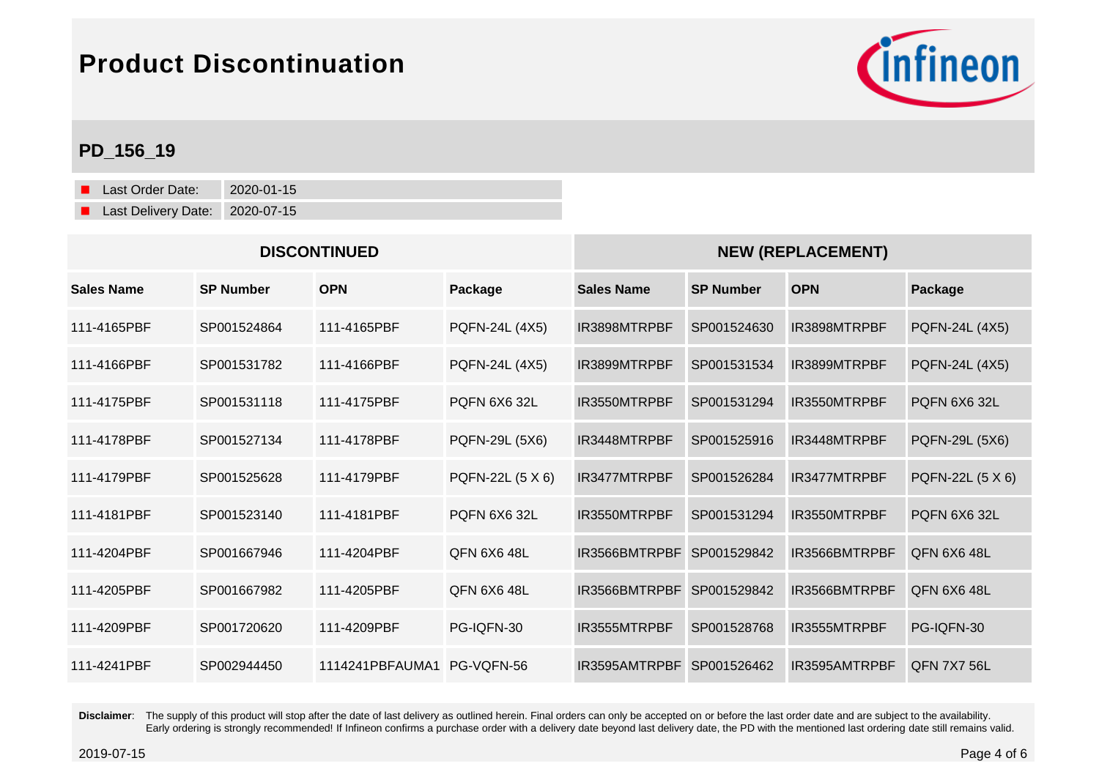

## **PD\_156\_19**

Last Order Date: 2020-01-15 Last Delivery Date: 2020-07-15

| <b>DISCONTINUED</b> |                  |                 |                    | <b>NEW (REPLACEMENT)</b> |                  |               |                    |
|---------------------|------------------|-----------------|--------------------|--------------------------|------------------|---------------|--------------------|
| <b>Sales Name</b>   | <b>SP Number</b> | <b>OPN</b>      | Package            | <b>Sales Name</b>        | <b>SP Number</b> | <b>OPN</b>    | Package            |
| 111-4165PBF         | SP001524864      | 111-4165PBF     | PQFN-24L (4X5)     | IR3898MTRPBF             | SP001524630      | IR3898MTRPBF  | PQFN-24L (4X5)     |
| 111-4166PBF         | SP001531782      | 111-4166PBF     | PQFN-24L (4X5)     | IR3899MTRPBF             | SP001531534      | IR3899MTRPBF  | PQFN-24L (4X5)     |
| 111-4175PBF         | SP001531118      | 111-4175PBF     | POFN 6X6 32L       | IR3550MTRPBF             | SP001531294      | IR3550MTRPBF  | POFN 6X6 32L       |
| 111-4178PBF         | SP001527134      | 111-4178PBF     | PQFN-29L (5X6)     | IR3448MTRPBF             | SP001525916      | IR3448MTRPBF  | PQFN-29L (5X6)     |
| 111-4179PBF         | SP001525628      | 111-4179PBF     | PQFN-22L (5 X 6)   | IR3477MTRPBF             | SP001526284      | IR3477MTRPBF  | PQFN-22L (5 X 6)   |
| 111-4181PBF         | SP001523140      | 111-4181PBF     | POFN 6X6 32L       | IR3550MTRPBF             | SP001531294      | IR3550MTRPBF  | POFN 6X6 32L       |
| 111-4204PBF         | SP001667946      | 111-4204PBF     | OFN 6X648L         | IR3566BMTRPBF            | SP001529842      | IR3566BMTRPBF | <b>QFN 6X6 48L</b> |
| 111-4205PBF         | SP001667982      | 111-4205PBF     | <b>QFN 6X6 48L</b> | IR3566BMTRPBF            | SP001529842      | IR3566BMTRPBF | <b>QFN 6X6 48L</b> |
| 111-4209PBF         | SP001720620      | 111-4209PBF     | PG-IQFN-30         | IR3555MTRPBF             | SP001528768      | IR3555MTRPBF  | PG-IQFN-30         |
| 111-4241PBF         | SP002944450      | 1114241PBFAUMA1 | PG-VQFN-56         | IR3595AMTRPBF            | SP001526462      | IR3595AMTRPBF | <b>QFN 7X7 56L</b> |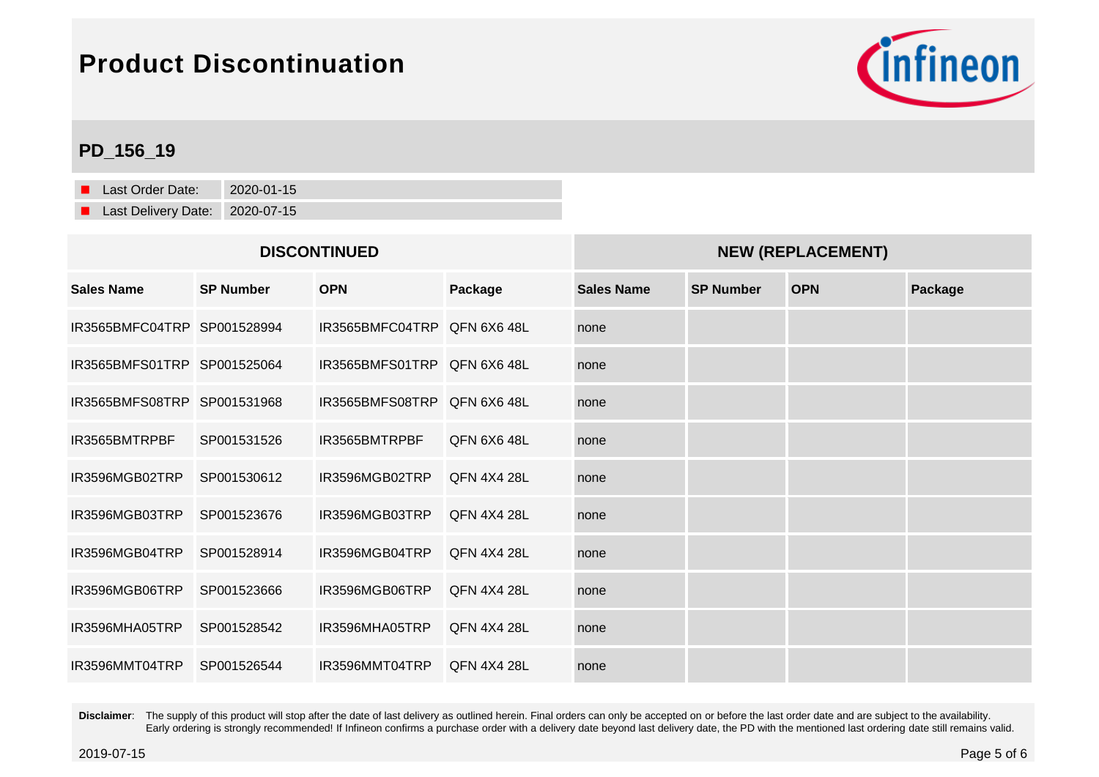

## **PD\_156\_19**

Last Order Date: 2020-01-15 Last Delivery Date: 2020-07-15

#### **DISCONTINUED NEW (REPLACEMENT)**

| <b>Sales Name</b>           | <b>SP Number</b> | <b>OPN</b>                  | Package            | <b>Sales Name</b> | <b>SP Number</b> | <b>OPN</b> | Package |
|-----------------------------|------------------|-----------------------------|--------------------|-------------------|------------------|------------|---------|
| IR3565BMFC04TRP SP001528994 |                  | IR3565BMFC04TRP QFN 6X6 48L |                    | none              |                  |            |         |
| IR3565BMFS01TRP SP001525064 |                  | IR3565BMFS01TRP QFN 6X6 48L |                    | none              |                  |            |         |
| IR3565BMFS08TRP SP001531968 |                  | IR3565BMFS08TRP QFN 6X6 48L |                    | none              |                  |            |         |
| IR3565BMTRPBF               | SP001531526      | IR3565BMTRPBF               | <b>QFN 6X6 48L</b> | none              |                  |            |         |
| IR3596MGB02TRP              | SP001530612      | IR3596MGB02TRP              | <b>QFN 4X4 28L</b> | none              |                  |            |         |
| IR3596MGB03TRP              | SP001523676      | IR3596MGB03TRP              | <b>QFN 4X4 28L</b> | none              |                  |            |         |
| IR3596MGB04TRP              | SP001528914      | IR3596MGB04TRP              | <b>QFN 4X4 28L</b> | none              |                  |            |         |
| IR3596MGB06TRP              | SP001523666      | IR3596MGB06TRP              | <b>QFN 4X4 28L</b> | none              |                  |            |         |
| IR3596MHA05TRP              | SP001528542      | IR3596MHA05TRP              | <b>QFN 4X4 28L</b> | none              |                  |            |         |
| IR3596MMT04TRP              | SP001526544      | IR3596MMT04TRP              | <b>QFN 4X4 28L</b> | none              |                  |            |         |